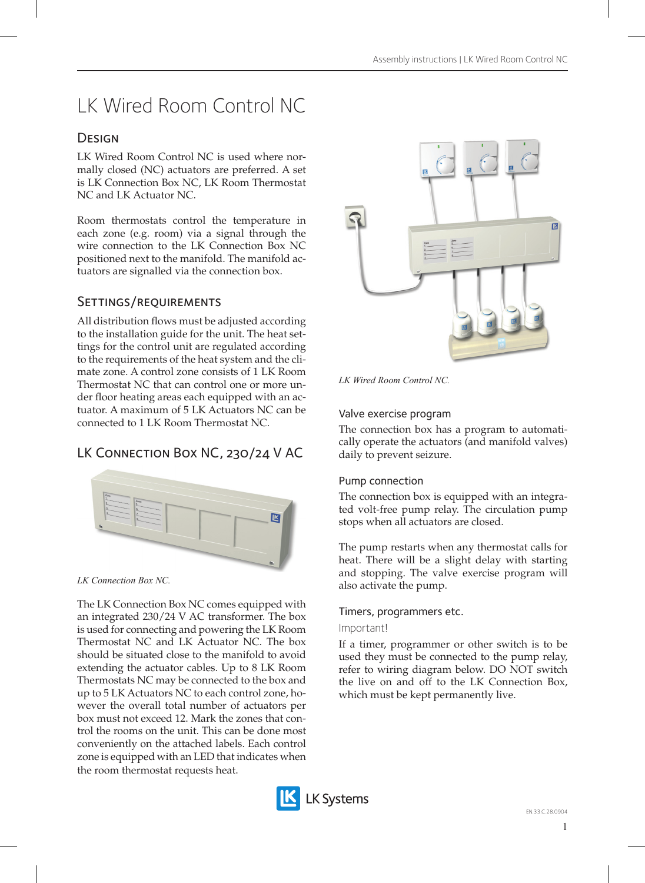# LK Wired Room Control NC

# **DESIGN**

LK Wired Room Control NC is used where normally closed (NC) actuators are preferred. A set is LK Connection Box NC, LK Room Thermostat NC and LK Actuator NC.

Room thermostats control the temperature in each zone (e.g. room) via a signal through the wire connection to the LK Connection Box NC positioned next to the manifold. The manifold actuators are signalled via the connection box.

# Settings/requirements

All distribution flows must be adjusted according to the installation guide for the unit. The heat settings for the control unit are regulated according to the requirements of the heat system and the climate zone. A control zone consists of 1 LK Room Thermostat NC that can control one or more under floor heating areas each equipped with an actuator. A maximum of 5 LK Actuators NC can be connected to 1 LK Room Thermostat NC.

# LK Connection Box NC, 230/24 V AC



*LK Connection Box NC.*

The LK Connection Box NC comes equipped with an integrated 230/24 V AC transformer. The box is used for connecting and powering the LK Room Thermostat NC and LK Actuator NC. The box should be situated close to the manifold to avoid extending the actuator cables. Up to 8 LK Room Thermostats NC may be connected to the box and up to 5 LK Actuators NC to each control zone, however the overall total number of actuators per box must not exceed 12. Mark the zones that control the rooms on the unit. This can be done most conveniently on the attached labels. Each control zone is equipped with an LED that indicates when the room thermostat requests heat.



*LK Wired Room Control NC.*

# Valve exercise program

The connection box has a program to automatically operate the actuators (and manifold valves) daily to prevent seizure.

# Pump connection

The connection box is equipped with an integrated volt-free pump relay. The circulation pump stops when all actuators are closed.

The pump restarts when any thermostat calls for heat. There will be a slight delay with starting and stopping. The valve exercise program will also activate the pump.

### Timers, programmers etc.

### Important!

If a timer, programmer or other switch is to be used they must be connected to the pump relay, refer to wiring diagram below. DO NOT switch the live on and off to the LK Connection Box, which must be kept permanently live.

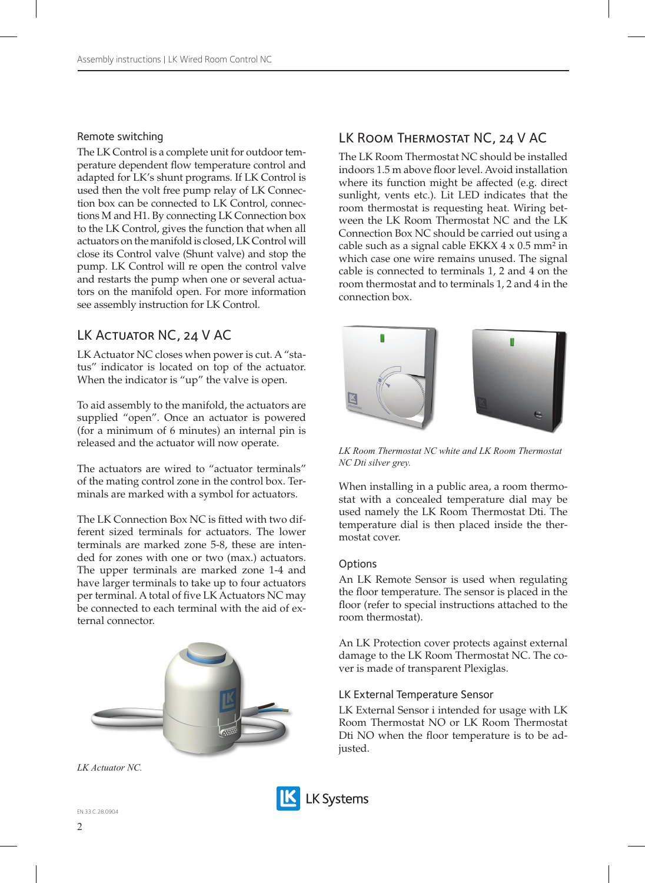#### Remote switching

The LK Control is a complete unit for outdoor temperature dependent flow temperature control and adapted for LK's shunt programs. If LK Control is used then the volt free pump relay of LK Connection box can be connected to LK Control, connections M and H1. By connecting LK Connection box to the LK Control, gives the function that when all actuators on the manifold is closed, LK Control will close its Control valve (Shunt valve) and stop the pump. LK Control will re open the control valve and restarts the pump when one or several actuators on the manifold open. For more information see assembly instruction for LK Control.

# LK ACTUATOR NC, 24 V AC

LK Actuator NC closes when power is cut. A "status" indicator is located on top of the actuator. When the indicator is "up" the valve is open.

To aid assembly to the manifold, the actuators are supplied "open". Once an actuator is powered (for a minimum of 6 minutes) an internal pin is released and the actuator will now operate.

The actuators are wired to "actuator terminals" of the mating control zone in the control box. Terminals are marked with a symbol for actuators.

The LK Connection Box NC is fitted with two different sized terminals for actuators. The lower terminals are marked zone 5-8, these are intended for zones with one or two (max.) actuators. The upper terminals are marked zone 1-4 and have larger terminals to take up to four actuators per terminal. A total of five LK Actuators NC may be connected to each terminal with the aid of external connector.



*LK Actuator NC.*

# LK Room Thermostat NC, 24 V AC

The LK Room Thermostat NC should be installed indoors 1.5 m above floor level. Avoid installation where its function might be affected (e.g. direct sunlight, vents etc.). Lit LED indicates that the room thermostat is requesting heat. Wiring between the LK Room Thermostat NC and the LK Connection Box NC should be carried out using a cable such as a signal cable EKKX  $4 \times 0.5$  mm<sup>2</sup> in which case one wire remains unused. The signal cable is connected to terminals 1, 2 and 4 on the room thermostat and to terminals 1, 2 and 4 in the connection box.



*LK Room Thermostat NC white and LK Room Thermostat NC Dti silver grey.*

When installing in a public area, a room thermostat with a concealed temperature dial may be used namely the LK Room Thermostat Dti. The temperature dial is then placed inside the thermostat cover.

#### Options

An LK Remote Sensor is used when regulating the floor temperature. The sensor is placed in the floor (refer to special instructions attached to the room thermostat).

An LK Protection cover protects against external damage to the LK Room Thermostat NC. The cover is made of transparent Plexiglas.

#### LK External Temperature Sensor

LK External Sensor i intended for usage with LK Room Thermostat NO or LK Room Thermostat Dti NO when the floor temperature is to be adjusted.

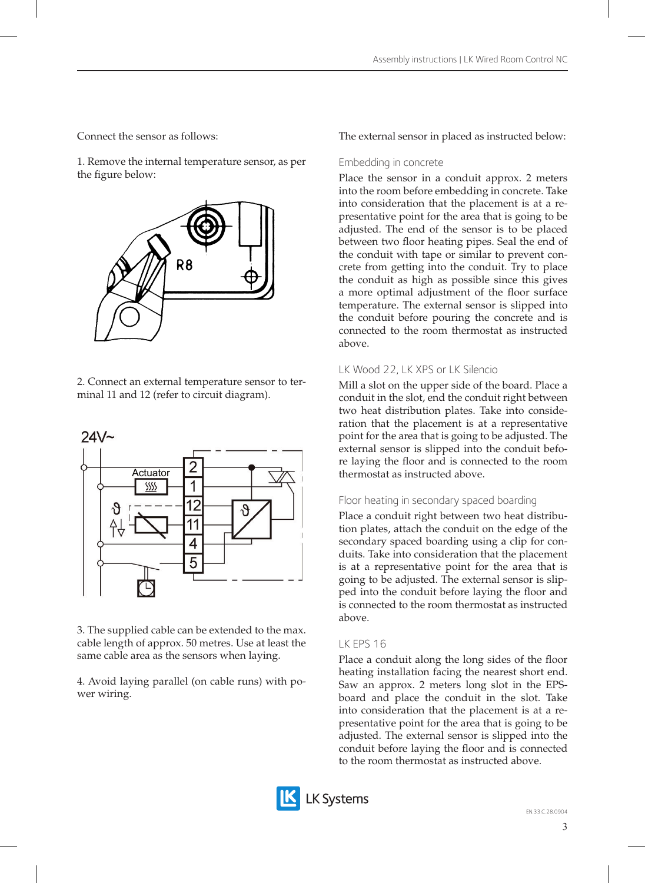Connect the sensor as follows:

1. Remove the internal temperature sensor, as per the figure below:



2. Connect an external temperature sensor to terminal 11 and 12 (refer to circuit diagram).



3. The supplied cable can be extended to the max. cable length of approx. 50 metres. Use at least the same cable area as the sensors when laying.

4. Avoid laying parallel (on cable runs) with power wiring.

The external sensor in placed as instructed below:

## Embedding in concrete

Place the sensor in a conduit approx. 2 meters into the room before embedding in concrete. Take into consideration that the placement is at a representative point for the area that is going to be adjusted. The end of the sensor is to be placed between two floor heating pipes. Seal the end of the conduit with tape or similar to prevent concrete from getting into the conduit. Try to place the conduit as high as possible since this gives a more optimal adjustment of the floor surface temperature. The external sensor is slipped into the conduit before pouring the concrete and is connected to the room thermostat as instructed above.

# LK Wood 22, LK XPS or LK Silencio

Mill a slot on the upper side of the board. Place a conduit in the slot, end the conduit right between two heat distribution plates. Take into consideration that the placement is at a representative point for the area that is going to be adjusted. The external sensor is slipped into the conduit before laying the floor and is connected to the room thermostat as instructed above.

# Floor heating in secondary spaced boarding

Place a conduit right between two heat distribution plates, attach the conduit on the edge of the secondary spaced boarding using a clip for conduits. Take into consideration that the placement is at a representative point for the area that is going to be adjusted. The external sensor is slipped into the conduit before laying the floor and is connected to the room thermostat as instructed above.

# LK EPS 16

Place a conduit along the long sides of the floor heating installation facing the nearest short end. Saw an approx. 2 meters long slot in the EPSboard and place the conduit in the slot. Take into consideration that the placement is at a representative point for the area that is going to be adjusted. The external sensor is slipped into the conduit before laying the floor and is connected to the room thermostat as instructed above.

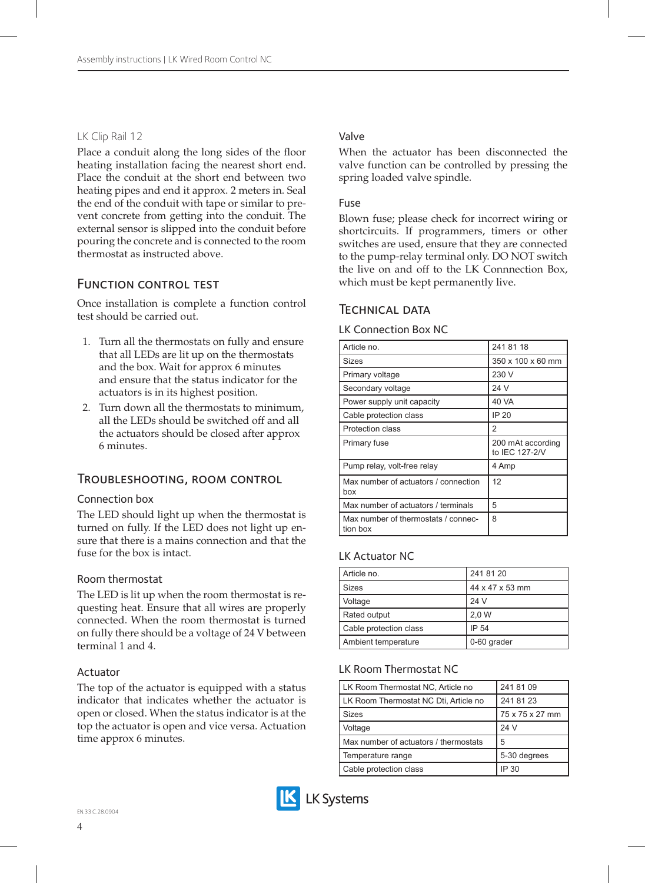## LK Clip Rail 12

Place a conduit along the long sides of the floor heating installation facing the nearest short end. Place the conduit at the short end between two heating pipes and end it approx. 2 meters in. Seal the end of the conduit with tape or similar to prevent concrete from getting into the conduit. The external sensor is slipped into the conduit before pouring the concrete and is connected to the room thermostat as instructed above.

# Function control test

Once installation is complete a function control test should be carried out.

- 1. Turn all the thermostats on fully and ensure that all LEDs are lit up on the thermostats and the box. Wait for approx 6 minutes and ensure that the status indicator for the actuators is in its highest position.
- 2. Turn down all the thermostats to minimum, all the LEDs should be switched off and all the actuators should be closed after approx 6 minutes.

# Troubleshooting, room control

### Connection box

The LED should light up when the thermostat is turned on fully. If the LED does not light up ensure that there is a mains connection and that the fuse for the box is intact.

### Room thermostat

The LED is lit up when the room thermostat is requesting heat. Ensure that all wires are properly connected. When the room thermostat is turned on fully there should be a voltage of 24 V between terminal 1 and 4.

### Actuator

The top of the actuator is equipped with a status indicator that indicates whether the actuator is open or closed. When the status indicator is at the top the actuator is open and vice versa. Actuation time approx 6 minutes.

## Valve

When the actuator has been disconnected the valve function can be controlled by pressing the spring loaded valve spindle.

#### Fuse

Blown fuse; please check for incorrect wiring or shortcircuits. If programmers, timers or other switches are used, ensure that they are connected to the pump-relay terminal only. DO NOT switch the live on and off to the LK Connnection Box, which must be kept permanently live.

## Technical data

LK Connection Box NC

| Article no.                                 | 241 81 18                           |
|---------------------------------------------|-------------------------------------|
| <b>Sizes</b>                                | 350 x 100 x 60 mm                   |
| Primary voltage                             | 230 V                               |
| Secondary voltage                           | 24 V                                |
| Power supply unit capacity                  | 40 VA                               |
| Cable protection class                      | IP 20                               |
| Protection class                            | 2                                   |
| Primary fuse                                | 200 mAt according<br>to IEC 127-2/V |
| Pump relay, volt-free relay                 | 4 Amp                               |
| Max number of actuators / connection<br>box | 12                                  |
| Max number of actuators / terminals         | 5                                   |
| Max number of thermostats / connec-         | 8                                   |

### LK Actuator NC

| Article no.            | 241 81 20       |
|------------------------|-----------------|
| Sizes                  | 44 x 47 x 53 mm |
| Voltage                | 24 V            |
| Rated output           | 2.0 W           |
| Cable protection class | IP 54           |
| Ambient temperature    | 0-60 grader     |

### LK Room Thermostat NC

| LK Room Thermostat NC. Article no       | 241 81 09       |
|-----------------------------------------|-----------------|
| I LK Room Thermostat NC Dti. Article no | 241 81 23       |
| <b>Sizes</b>                            | 75 x 75 x 27 mm |
| Voltage                                 | 24 V            |
| Max number of actuators / thermostats   | 5               |
| Temperature range                       | 5-30 degrees    |
| Cable protection class                  | IP 30           |

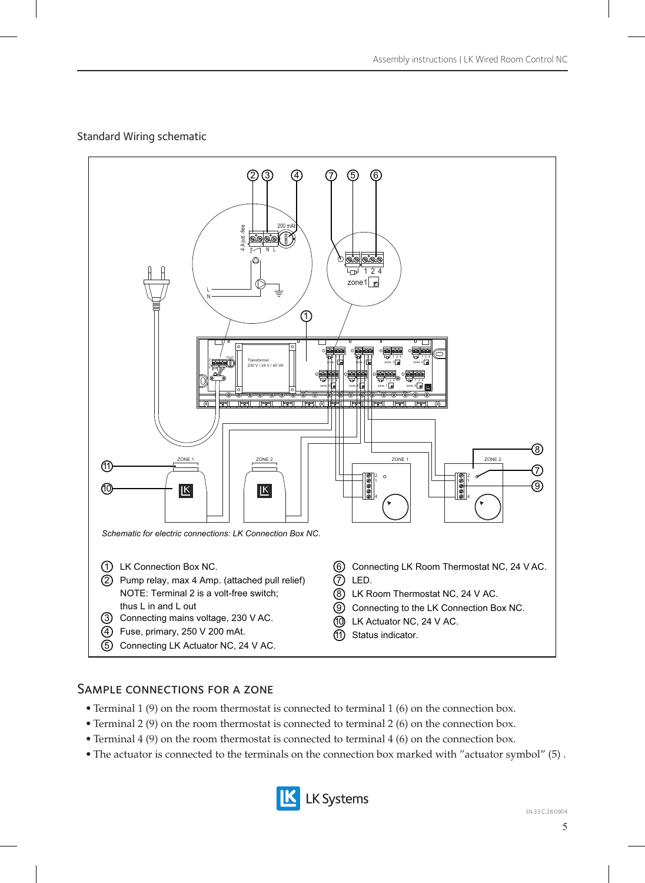# Standard Wiring schematic



# Sample connections for a zone

- Terminal 1 (9) on the room thermostat is connected to terminal 1 (6) on the connection box.
- Terminal 2 (9) on the room thermostat is connected to terminal 2 (6) on the connection box.
- Terminal 4 (9) on the room thermostat is connected to terminal 4 (6) on the connection box.
- The actuator is connected to the terminals on the connection box marked with "actuator symbol" (5) .